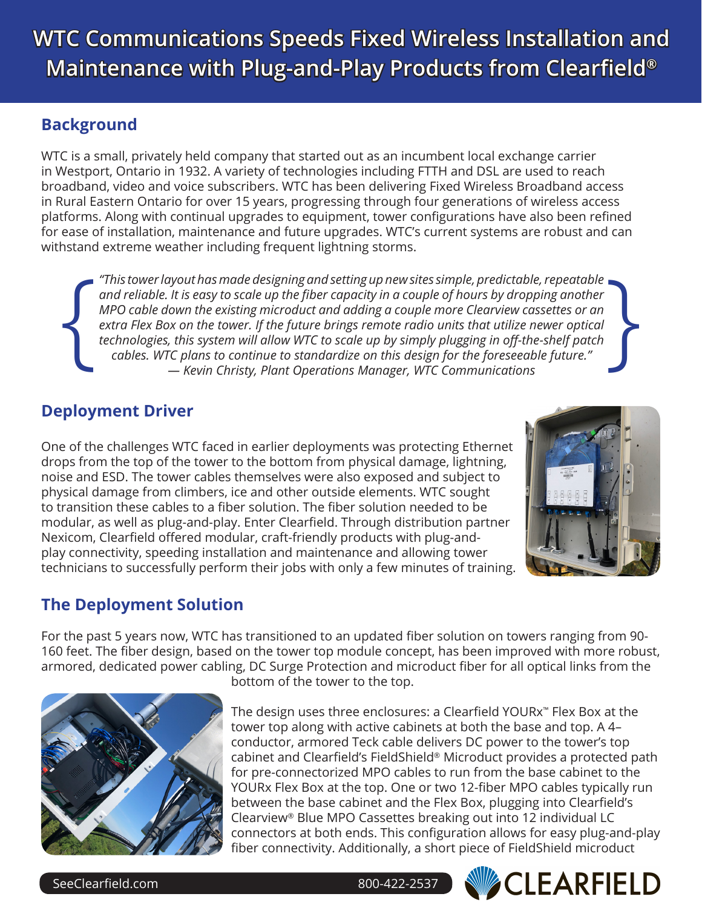## **Background**

WTC is a small, privately held company that started out as an incumbent local exchange carrier in Westport, Ontario in 1932. A variety of technologies including FTTH and DSL are used to reach broadband, video and voice subscribers. WTC has been delivering Fixed Wireless Broadband access in Rural Eastern Ontario for over 15 years, progressing through four generations of wireless access platforms. Along with continual upgrades to equipment, tower configurations have also been refined for ease of installation, maintenance and future upgrades. WTC's current systems are robust and can withstand extreme weather including frequent lightning storms.

{ *"This tower layout has made designing and setting up new sites simple, predictable, repeatable and reliable. It is easy to scale up the fiber capacity in a couple of hours by dropping another MPO cable down the existing microduct and adding a couple more Clearview cassettes or an extra Flex Box on the tower. If the future brings remote radio units that utilize newer optical technologies, this system will allow WTC to scale up by simply plugging in off-the-shelf patch cables. WTC plans to continue to standardize on this design for the foreseeable future." — Kevin Christy, Plant Operations Manager, WTC Communications*  }

# **Deployment Driver**

One of the challenges WTC faced in earlier deployments was protecting Ethernet drops from the top of the tower to the bottom from physical damage, lightning, noise and ESD. The tower cables themselves were also exposed and subject to physical damage from climbers, ice and other outside elements. WTC sought to transition these cables to a fiber solution. The fiber solution needed to be modular, as well as plug-and-play. Enter Clearfield. Through distribution partner Nexicom, Clearfield offered modular, craft-friendly products with plug-andplay connectivity, speeding installation and maintenance and allowing tower technicians to successfully perform their jobs with only a few minutes of training.



# **The Deployment Solution**

For the past 5 years now, WTC has transitioned to an updated fiber solution on towers ranging from 90- 160 feet. The fiber design, based on the tower top module concept, has been improved with more robust, armored, dedicated power cabling, DC Surge Protection and microduct fiber for all optical links from the



bottom of the tower to the top.

The design uses three enclosures: a Clearfield YOURx™ Flex Box at the tower top along with active cabinets at both the base and top. A 4– conductor, armored Teck cable delivers DC power to the tower's top cabinet and Clearfield's FieldShield® Microduct provides a protected path for pre-connectorized MPO cables to run from the base cabinet to the YOURx Flex Box at the top. One or two 12-fiber MPO cables typically run between the base cabinet and the Flex Box, plugging into Clearfield's Clearview® Blue MPO Cassettes breaking out into 12 individual LC connectors at both ends. This configuration allows for easy plug-and-play fiber connectivity. Additionally, a short piece of FieldShield microduct